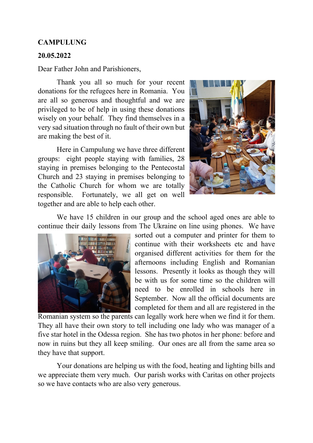## **CAMPULUNG**

## **20.05.2022**

Dear Father John and Parishioners,

Thank you all so much for your recent donations for the refugees here in Romania. You are all so generous and thoughtful and we are privileged to be of help in using these donations wisely on your behalf. They find themselves in a very sad situation through no fault of their own but are making the best of it.

Here in Campulung we have three different groups: eight people staying with families, 28 staying in premises belonging to the Pentecostal Church and 23 staying in premises belonging to the Catholic Church for whom we are totally responsible. Fortunately, we all get on well together and are able to help each other.



We have 15 children in our group and the school aged ones are able to continue their daily lessons from The Ukraine on line using phones. We have



sorted out a computer and printer for them to continue with their worksheets etc and have organised different activities for them for the afternoons including English and Romanian lessons. Presently it looks as though they will be with us for some time so the children will need to be enrolled in schools here in September. Now all the official documents are completed for them and all are registered in the

Romanian system so the parents can legally work here when we find it for them. They all have their own story to tell including one lady who was manager of a five star hotel in the Odessa region. She has two photos in her phone: before and now in ruins but they all keep smiling. Our ones are all from the same area so they have that support.

Your donations are helping us with the food, heating and lighting bills and we appreciate them very much. Our parish works with Caritas on other projects so we have contacts who are also very generous.